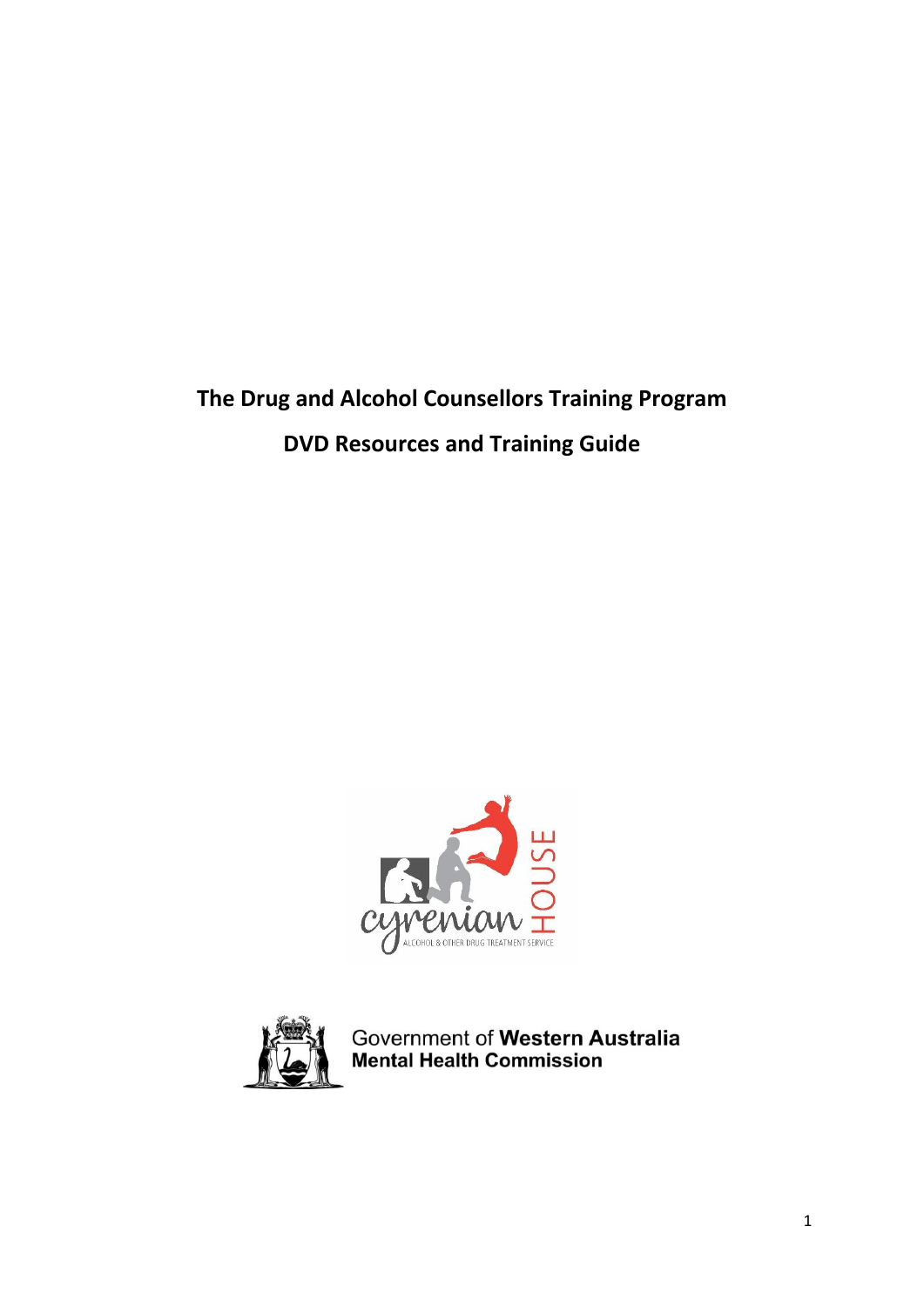# **The Drug and Alcohol Counsellors Training Program DVD Resources and Training Guide**





Government of Western Australia<br>Mental Health Commission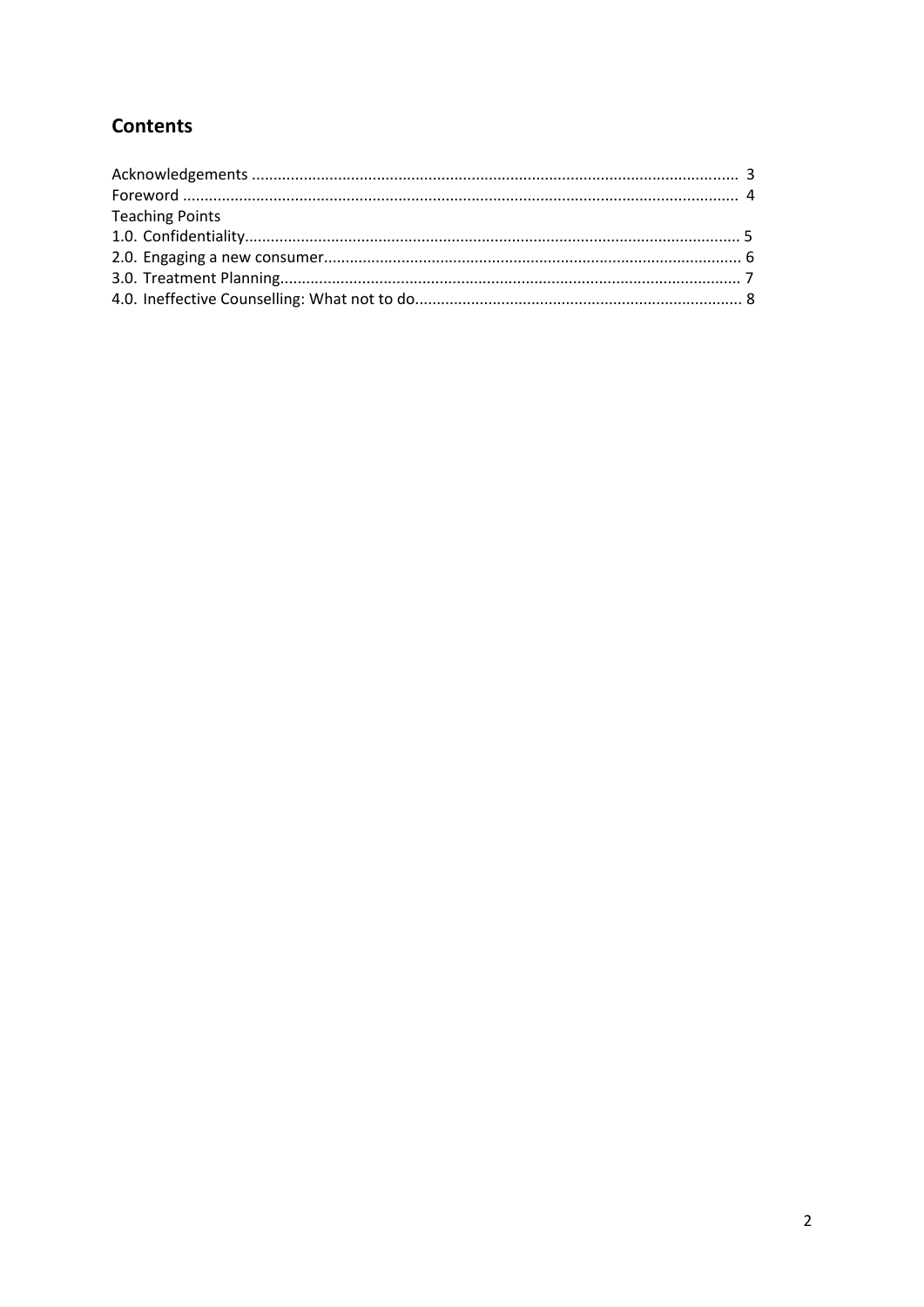# **Contents**

| <b>Teaching Points</b> |  |
|------------------------|--|
|                        |  |
|                        |  |
|                        |  |
|                        |  |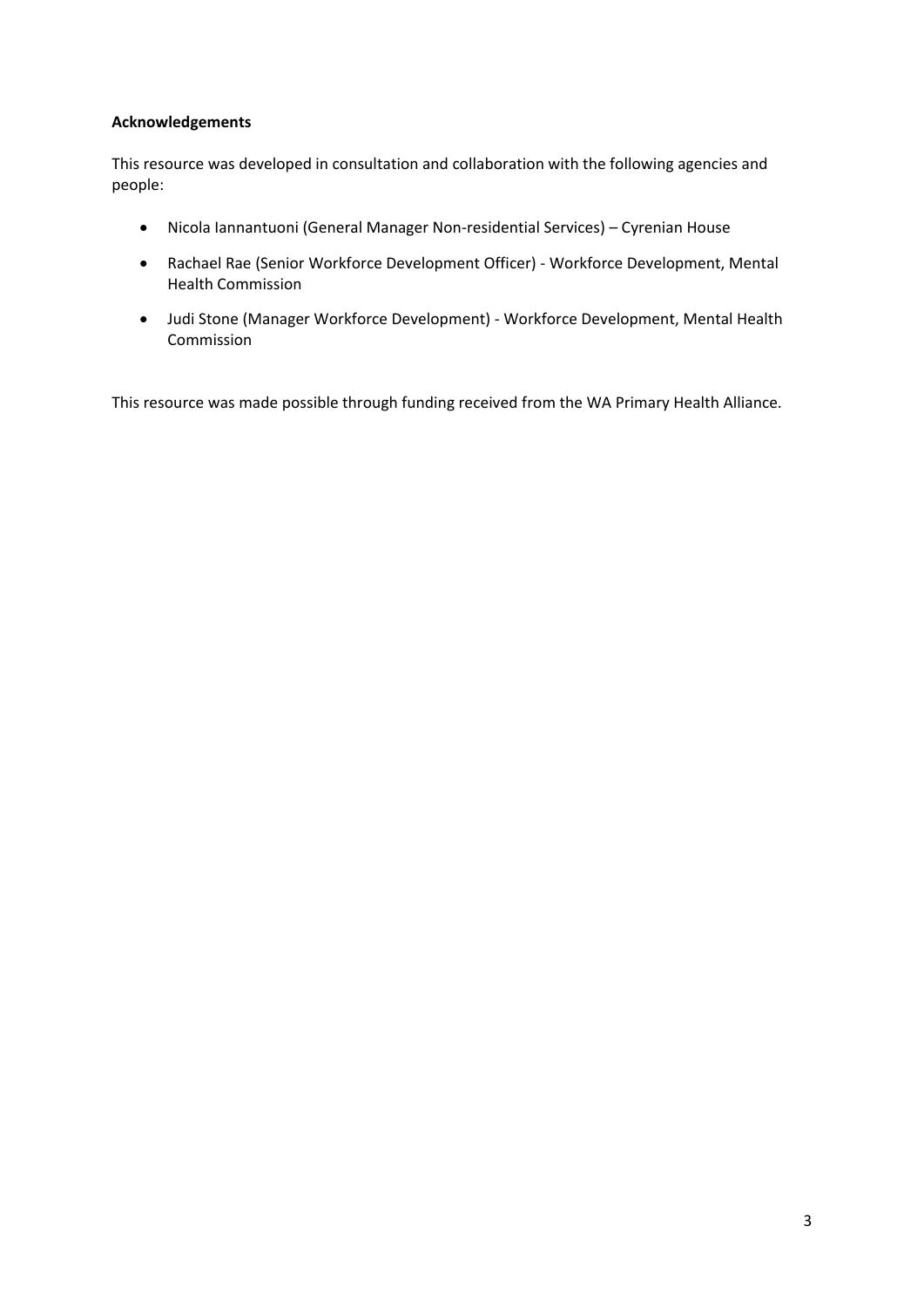# **Acknowledgements**

This resource was developed in consultation and collaboration with the following agencies and people:

- Nicola Iannantuoni (General Manager Non-residential Services) Cyrenian House
- Rachael Rae (Senior Workforce Development Officer) Workforce Development, Mental Health Commission
- Judi Stone (Manager Workforce Development) Workforce Development, Mental Health Commission

This resource was made possible through funding received from the WA Primary Health Alliance.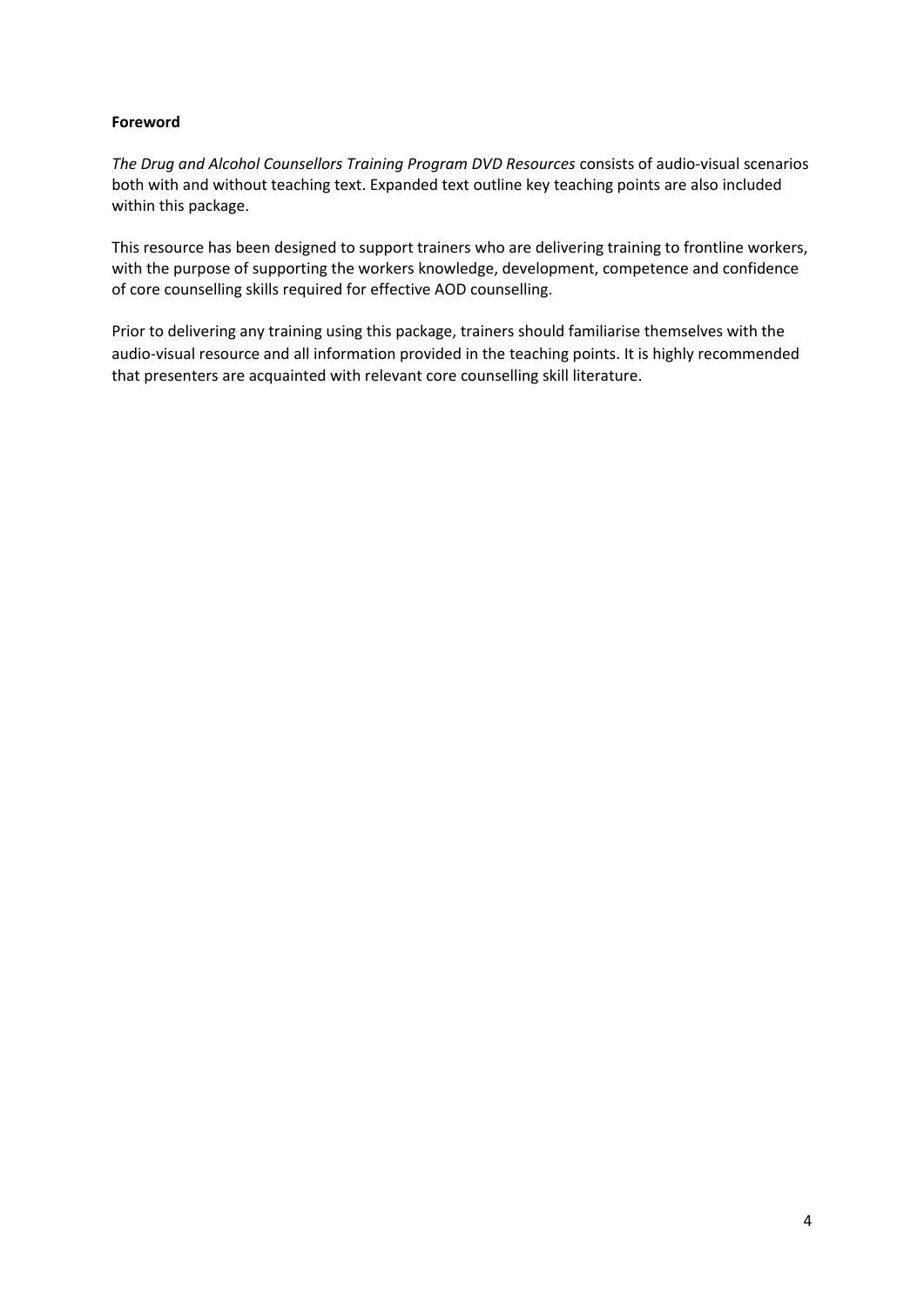# **Foreword**

*The Drug and Alcohol Counsellors Training Program DVD Resources* consists of audio-visual scenarios both with and without teaching text. Expanded text outline key teaching points are also included within this package.

This resource has been designed to support trainers who are delivering training to frontline workers, with the purpose of supporting the workers knowledge, development, competence and confidence of core counselling skills required for effective AOD counselling.

Prior to delivering any training using this package, trainers should familiarise themselves with the audio-visual resource and all information provided in the teaching points. It is highly recommended that presenters are acquainted with relevant core counselling skill literature.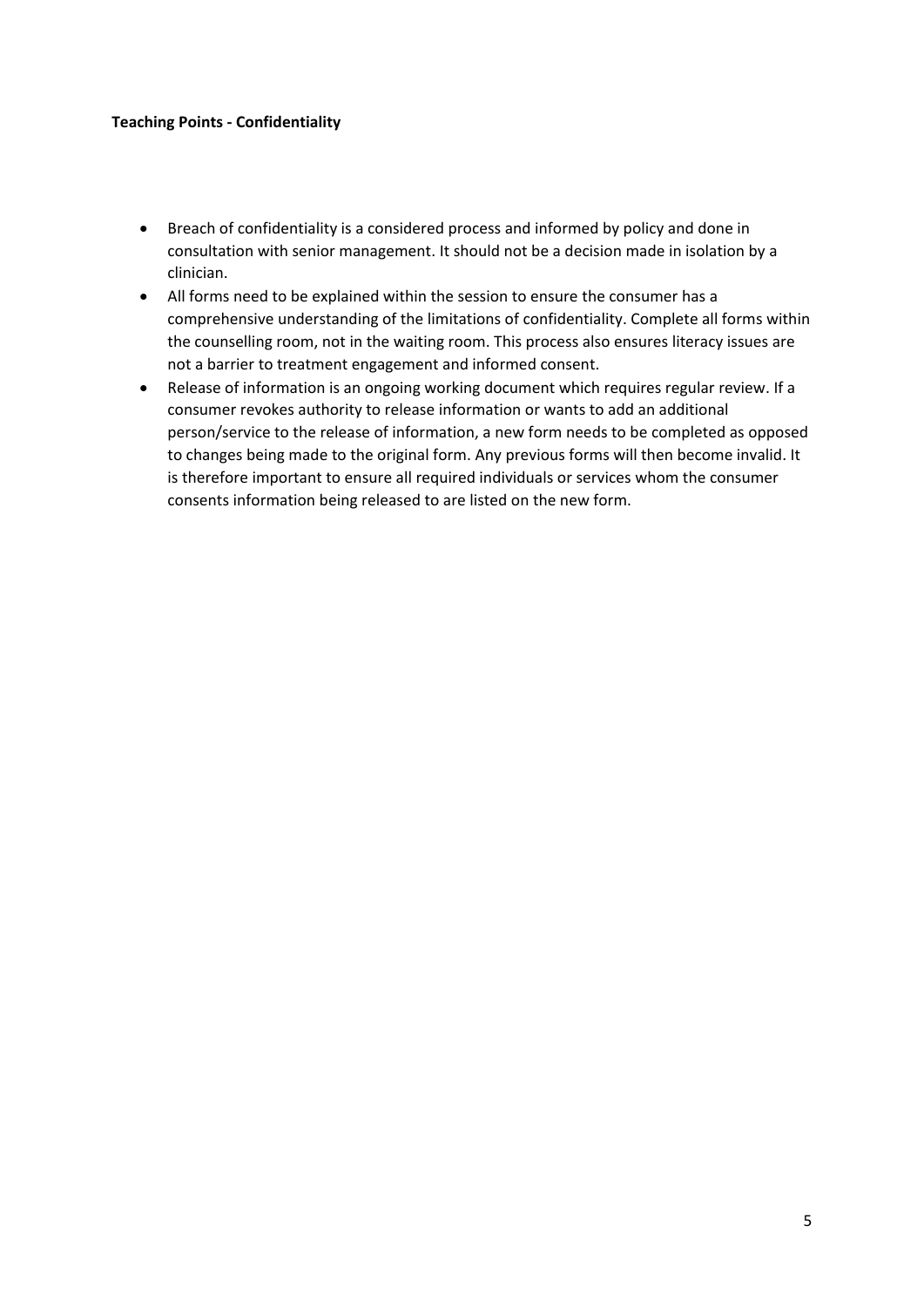#### **Teaching Points - Confidentiality**

- Breach of confidentiality is a considered process and informed by policy and done in consultation with senior management. It should not be a decision made in isolation by a clinician.
- All forms need to be explained within the session to ensure the consumer has a comprehensive understanding of the limitations of confidentiality. Complete all forms within the counselling room, not in the waiting room. This process also ensures literacy issues are not a barrier to treatment engagement and informed consent.
- Release of information is an ongoing working document which requires regular review. If a consumer revokes authority to release information or wants to add an additional person/service to the release of information, a new form needs to be completed as opposed to changes being made to the original form. Any previous forms will then become invalid. It is therefore important to ensure all required individuals or services whom the consumer consents information being released to are listed on the new form.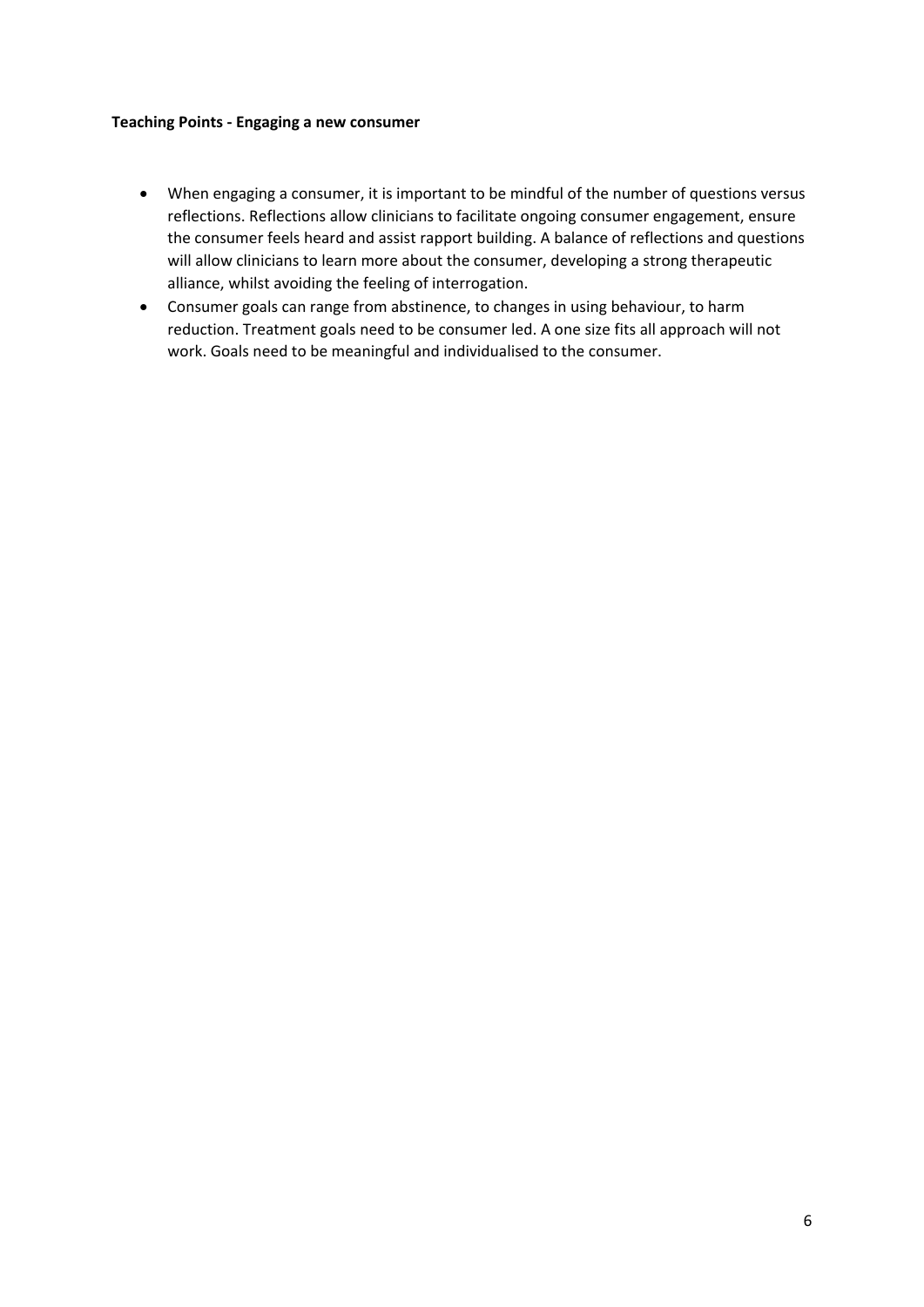#### **Teaching Points - Engaging a new consumer**

- When engaging a consumer, it is important to be mindful of the number of questions versus reflections. Reflections allow clinicians to facilitate ongoing consumer engagement, ensure the consumer feels heard and assist rapport building. A balance of reflections and questions will allow clinicians to learn more about the consumer, developing a strong therapeutic alliance, whilst avoiding the feeling of interrogation.
- Consumer goals can range from abstinence, to changes in using behaviour, to harm reduction. Treatment goals need to be consumer led. A one size fits all approach will not work. Goals need to be meaningful and individualised to the consumer.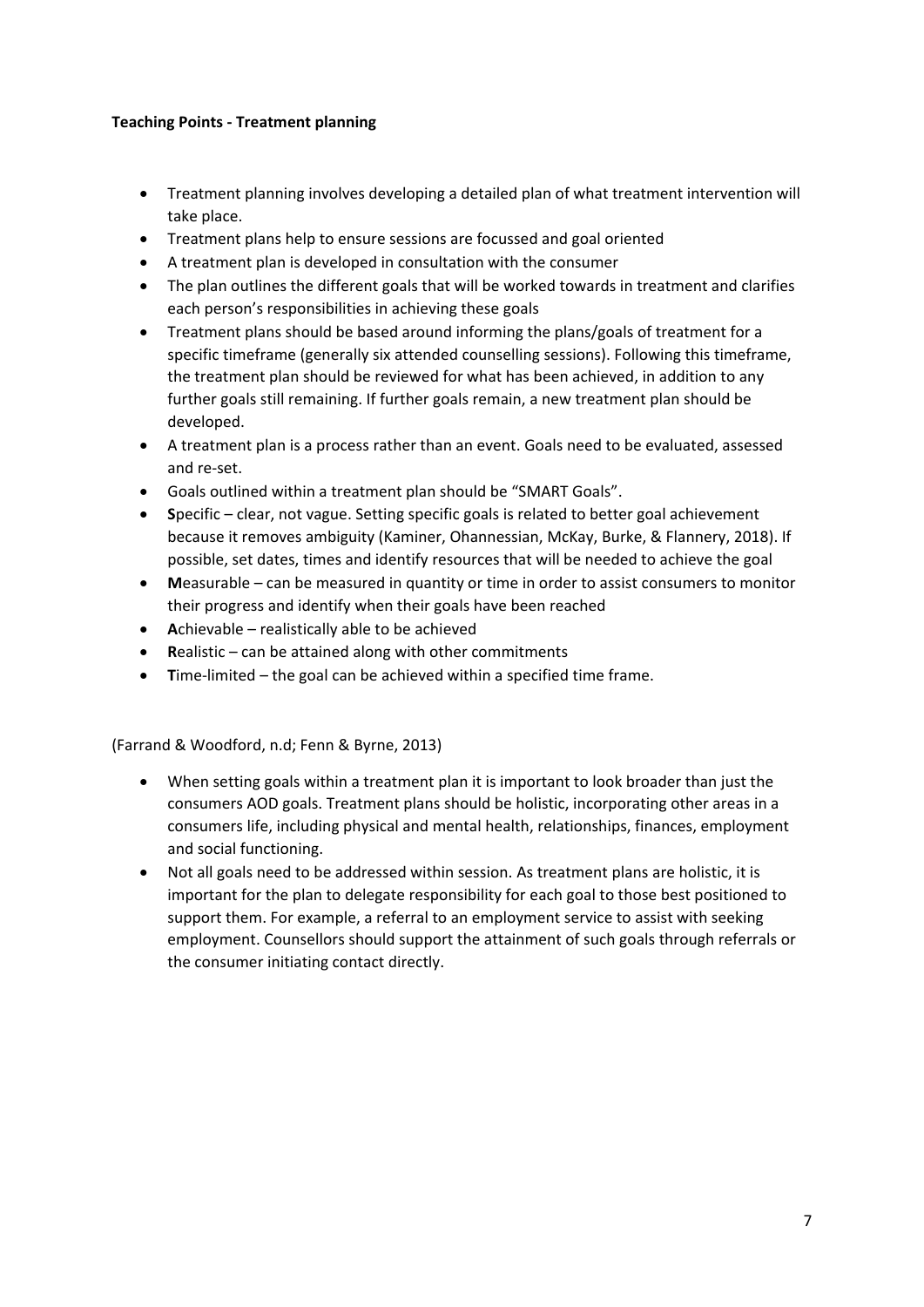# **Teaching Points - Treatment planning**

- Treatment planning involves developing a detailed plan of what treatment intervention will take place.
- Treatment plans help to ensure sessions are focussed and goal oriented
- A treatment plan is developed in consultation with the consumer
- The plan outlines the different goals that will be worked towards in treatment and clarifies each person's responsibilities in achieving these goals
- Treatment plans should be based around informing the plans/goals of treatment for a specific timeframe (generally six attended counselling sessions). Following this timeframe, the treatment plan should be reviewed for what has been achieved, in addition to any further goals still remaining. If further goals remain, a new treatment plan should be developed.
- A treatment plan is a process rather than an event. Goals need to be evaluated, assessed and re-set.
- Goals outlined within a treatment plan should be "SMART Goals".
- **S**pecific clear, not vague. Setting specific goals is related to better goal achievement because it removes ambiguity (Kaminer, Ohannessian, McKay, Burke, & Flannery, 2018). If possible, set dates, times and identify resources that will be needed to achieve the goal
- **M**easurable can be measured in quantity or time in order to assist consumers to monitor their progress and identify when their goals have been reached
- **A**chievable realistically able to be achieved
- **R**ealistic can be attained along with other commitments
- **T**ime-limited the goal can be achieved within a specified time frame.

(Farrand & Woodford, n.d; Fenn & Byrne, 2013)

- When setting goals within a treatment plan it is important to look broader than just the consumers AOD goals. Treatment plans should be holistic, incorporating other areas in a consumers life, including physical and mental health, relationships, finances, employment and social functioning.
- Not all goals need to be addressed within session. As treatment plans are holistic, it is important for the plan to delegate responsibility for each goal to those best positioned to support them. For example, a referral to an employment service to assist with seeking employment. Counsellors should support the attainment of such goals through referrals or the consumer initiating contact directly.